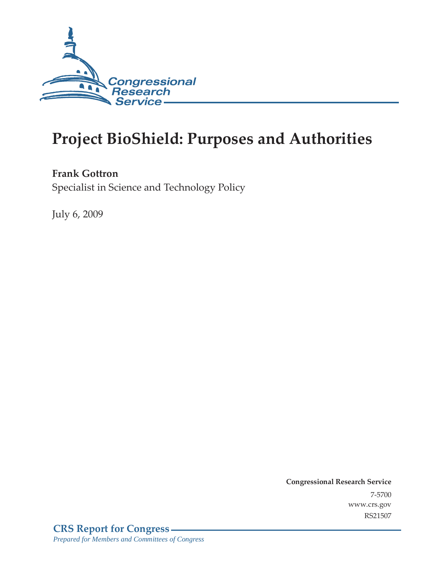

# **Project BioShield: Purposes and Authorities**

#### **Frank Gottron**

Specialist in Science and Technology Policy

July 6, 2009

**Congressional Research Service** 7-5700 www.crs.gov RS21507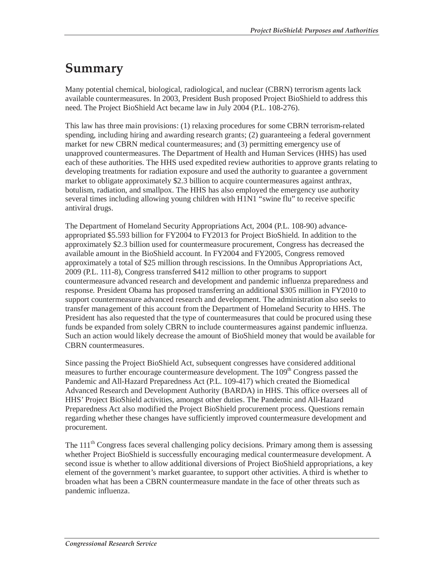### **Summary**

Many potential chemical, biological, radiological, and nuclear (CBRN) terrorism agents lack available countermeasures. In 2003, President Bush proposed Project BioShield to address this need. The Project BioShield Act became law in July 2004 (P.L. 108-276).

This law has three main provisions: (1) relaxing procedures for some CBRN terrorism-related spending, including hiring and awarding research grants; (2) guaranteeing a federal government market for new CBRN medical countermeasures; and (3) permitting emergency use of unapproved countermeasures. The Department of Health and Human Services (HHS) has used each of these authorities. The HHS used expedited review authorities to approve grants relating to developing treatments for radiation exposure and used the authority to guarantee a government market to obligate approximately \$2.3 billion to acquire countermeasures against anthrax, botulism, radiation, and smallpox. The HHS has also employed the emergency use authority several times including allowing young children with H1N1 "swine flu" to receive specific antiviral drugs.

The Department of Homeland Security Appropriations Act, 2004 (P.L. 108-90) advanceappropriated \$5.593 billion for FY2004 to FY2013 for Project BioShield. In addition to the approximately \$2.3 billion used for countermeasure procurement, Congress has decreased the available amount in the BioShield account. In FY2004 and FY2005, Congress removed approximately a total of \$25 million through rescissions. In the Omnibus Appropriations Act, 2009 (P.L. 111-8), Congress transferred \$412 million to other programs to support countermeasure advanced research and development and pandemic influenza preparedness and response. President Obama has proposed transferring an additional \$305 million in FY2010 to support countermeasure advanced research and development. The administration also seeks to transfer management of this account from the Department of Homeland Security to HHS. The President has also requested that the type of countermeasures that could be procured using these funds be expanded from solely CBRN to include countermeasures against pandemic influenza. Such an action would likely decrease the amount of BioShield money that would be available for CBRN countermeasures.

Since passing the Project BioShield Act, subsequent congresses have considered additional measures to further encourage countermeasure development. The 109<sup>th</sup> Congress passed the Pandemic and All-Hazard Preparedness Act (P.L. 109-417) which created the Biomedical Advanced Research and Development Authority (BARDA) in HHS. This office oversees all of HHS' Project BioShield activities, amongst other duties. The Pandemic and All-Hazard Preparedness Act also modified the Project BioShield procurement process. Questions remain regarding whether these changes have sufficiently improved countermeasure development and procurement.

The 111<sup>th</sup> Congress faces several challenging policy decisions. Primary among them is assessing whether Project BioShield is successfully encouraging medical countermeasure development. A second issue is whether to allow additional diversions of Project BioShield appropriations, a key element of the government's market guarantee, to support other activities. A third is whether to broaden what has been a CBRN countermeasure mandate in the face of other threats such as pandemic influenza.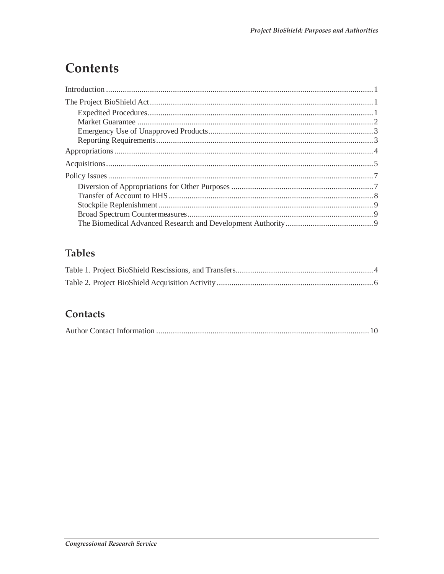## **Contents**

### **Tables**

### **Contacts**

|--|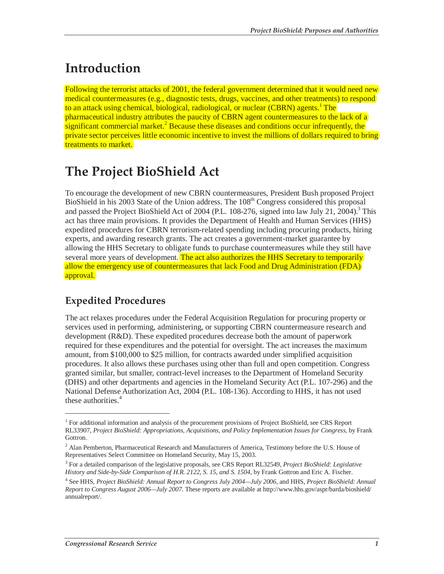### **Introduction**

Following the terrorist attacks of 2001, the federal government determined that it would need new medical countermeasures (e.g., diagnostic tests, drugs, vaccines, and other treatments) to respond to an attack using chemical, biological, radiological, or nuclear (CBRN) agents.<sup>1</sup> The pharmaceutical industry attributes the paucity of CBRN agent countermeasures to the lack of a  $\frac{s$ ignificant commercial market.<sup>2</sup> Because these diseases and conditions occur infrequently, the private sector perceives little economic incentive to invest the millions of dollars required to bring treatments to market.

### **The Project BioShield Act**

To encourage the development of new CBRN countermeasures, President Bush proposed Project BioShield in his 2003 State of the Union address. The 108<sup>th</sup> Congress considered this proposal and passed the Project BioShield Act of 2004 (P.L. 108-276, signed into law July 21, 2004).<sup>3</sup> This act has three main provisions. It provides the Department of Health and Human Services (HHS) expedited procedures for CBRN terrorism-related spending including procuring products, hiring experts, and awarding research grants. The act creates a government-market guarantee by allowing the HHS Secretary to obligate funds to purchase countermeasures while they still have several more years of development. The act also authorizes the HHS Secretary to temporarily allow the emergency use of countermeasures that lack Food and Drug Administration (FDA) approval.

### **Expedited Procedures**

The act relaxes procedures under the Federal Acquisition Regulation for procuring property or services used in performing, administering, or supporting CBRN countermeasure research and development (R&D). These expedited procedures decrease both the amount of paperwork required for these expenditures and the potential for oversight. The act increases the maximum amount, from \$100,000 to \$25 million, for contracts awarded under simplified acquisition procedures. It also allows these purchases using other than full and open competition. Congress granted similar, but smaller, contract-level increases to the Department of Homeland Security (DHS) and other departments and agencies in the Homeland Security Act (P.L. 107-296) and the National Defense Authorization Act, 2004 (P.L. 108-136). According to HHS, it has not used these authorities. $4$ 

<sup>&</sup>lt;sup>1</sup> For additional information and analysis of the procurement provisions of Project BioShield, see CRS Report RL33907, *Project BioShield: Appropriations, Acquisitions, and Policy Implementation Issues for Congress*, by Frank Gottron.

 $2$  Alan Pemberton, Pharmaceutical Research and Manufacturers of America, Testimony before the U.S. House of Representatives Select Committee on Homeland Security, May 15, 2003.

<sup>3</sup> For a detailed comparison of the legislative proposals, see CRS Report RL32549, *Project BioShield: Legislative History and Side-by-Side Comparison of H.R. 2122, S. 15, and S. 1504*, by Frank Gottron and Eric A. Fischer.

<sup>4</sup> See HHS, *Project BioShield: Annual Report to Congress July 2004—July 2006*, and HHS, *Project BioShield: Annual Report to Congress August 2006—July 2007*. These reports are available at http://www.hhs.gov/aspr/barda/bioshield/ annualreport/.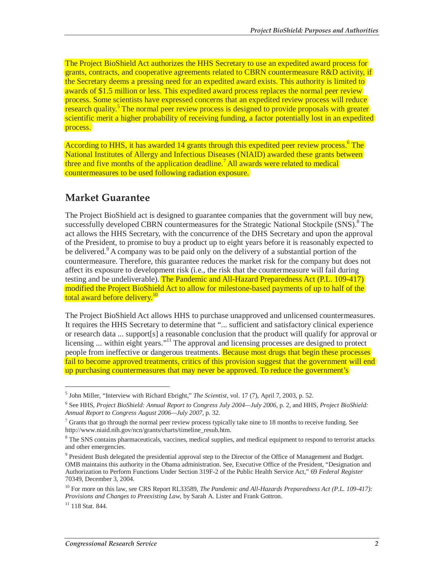The Project BioShield Act authorizes the HHS Secretary to use an expedited award process for grants, contracts, and cooperative agreements related to CBRN countermeasure R&D activity, if the Secretary deems a pressing need for an expedited award exists. This authority is limited to awards of \$1.5 million or less. This expedited award process replaces the normal peer review process. Some scientists have expressed concerns that an expedited review process will reduce research quality.<sup>5</sup> The normal peer review process is designed to provide proposals with greater scientific merit a higher probability of receiving funding, a factor potentially lost in an expedited process.

According to HHS, it has awarded 14 grants through this expedited peer review process.<sup>6</sup> The National Institutes of Allergy and Infectious Diseases (NIAID) awarded these grants between three and five months of the application deadline.<sup>7</sup> All awards were related to medical countermeasures to be used following radiation exposure.

### **Market Guarantee**

The Project BioShield act is designed to guarantee companies that the government will buy new, successfully developed CBRN countermeasures for the Strategic National Stockpile (SNS).<sup>8</sup> The act allows the HHS Secretary, with the concurrence of the DHS Secretary and upon the approval of the President, to promise to buy a product up to eight years before it is reasonably expected to be delivered.<sup>9</sup> A company was to be paid only on the delivery of a substantial portion of the countermeasure. Therefore, this guarantee reduces the market risk for the company but does not affect its exposure to development risk (i.e., the risk that the countermeasure will fail during testing and be undeliverable). The Pandemic and All-Hazard Preparedness Act (P.L. 109-417) modified the Project BioShield Act to allow for milestone-based payments of up to half of the total award before delivery.<sup>10</sup>

The Project BioShield Act allows HHS to purchase unapproved and unlicensed countermeasures. It requires the HHS Secretary to determine that "... sufficient and satisfactory clinical experience or research data ... support[s] a reasonable conclusion that the product will qualify for approval or licensing ... within eight years."<sup>11</sup> The approval and licensing processes are designed to protect people from ineffective or dangerous treatments. Because most drugs that begin these processes fail to become approved treatments, critics of this provision suggest that the government will end up purchasing countermeasures that may never be approved. To reduce the government's

<sup>5</sup> John Miller, "Interview with Richard Ebright," *The Scientist*, vol. 17 (7), April 7, 2003, p. 52.

<sup>6</sup> See HHS, *Project BioShield: Annual Report to Congress July 2004—July 2006*, p. 2, and HHS, *Project BioShield: Annual Report to Congress August 2006—July 2007*, p. 32.

 $7$  Grants that go through the normal peer review process typically take nine to 18 months to receive funding. See http://www.niaid.nih.gov/ncn/grants/charts/timeline\_resub.htm.

<sup>&</sup>lt;sup>8</sup> The SNS contains pharmaceuticals, vaccines, medical supplies, and medical equipment to respond to terrorist attacks and other emergencies.

<sup>&</sup>lt;sup>9</sup> President Bush delegated the presidential approval step to the Director of the Office of Management and Budget. OMB maintains this authority in the Obama administration. See, Executive Office of the President, "Designation and Authorization to Perform Functions Under Section 319F-2 of the Public Health Service Act," 69 *Federal Register* 70349, December 3, 2004.

<sup>&</sup>lt;sup>10</sup> For more on this law, see CRS Report RL33589, *The Pandemic and All-Hazards Preparedness Act (P.L. 109-417)*: *Provisions and Changes to Preexisting Law*, by Sarah A. Lister and Frank Gottron.

<sup>11 118</sup> Stat. 844.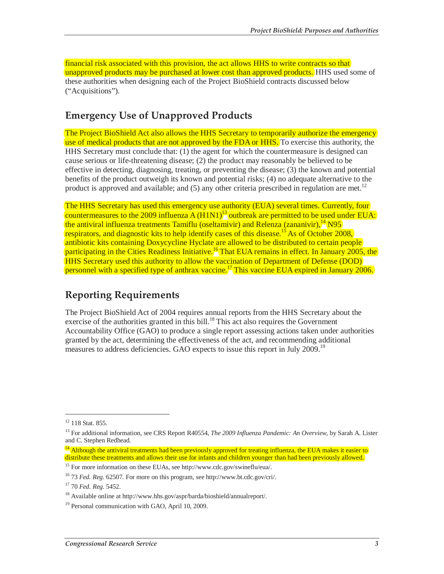financial risk associated with this provision, the act allows HHS to write contracts so that unapproved products may be purchased at lower cost than approved products. HHS used some of these authorities when designing each of the Project BioShield contracts discussed below ("Acquisitions").

#### **Emergency Use of Unapproved Products**

The Project BioShield Act also allows the HHS Secretary to temporarily authorize the emergency use of medical products that are not approved by the FDA or HHS. To exercise this authority, the HHS Secretary must conclude that: (1) the agent for which the countermeasure is designed can cause serious or life-threatening disease; (2) the product may reasonably be believed to be effective in detecting, diagnosing, treating, or preventing the disease; (3) the known and potential benefits of the product outweigh its known and potential risks; (4) no adequate alternative to the product is approved and available; and  $(5)$  any other criteria prescribed in regulation are met.<sup>12</sup>

The HHS Secretary has used this emergency use authority (EUA) several times. Currently, four countermeasures to the 2009 influenza A  $(H1N1)^{13}$  outbreak are permitted to be used under EUA: the antiviral influenza treatments Tamiflu (oseltamivir) and Relenza (zananivir), $^{14}$ N95 respirators, and diagnostic kits to help identify cases of this disease.<sup>15</sup> As of October 2008, antibiotic kits containing Doxycycline Hyclate are allowed to be distributed to certain people participating in the Cities Readiness Initiative.<sup>16</sup> That EUA remains in effect. In January 2005, the HHS Secretary used this authority to allow the vaccination of Department of Defense (DOD) personnel with a specified type of anthrax vaccine.<sup>17</sup> This vaccine EUA expired in January 2006.

### **Reporting Requirements**

The Project BioShield Act of 2004 requires annual reports from the HHS Secretary about the exercise of the authorities granted in this bill.<sup>18</sup> This act also requires the Government Accountability Office (GAO) to produce a single report assessing actions taken under authorities granted by the act, determining the effectiveness of the act, and recommending additional measures to address deficiencies. GAO expects to issue this report in July 2009.<sup>19</sup>

<sup>&</sup>lt;sup>12</sup> 118 Stat. 855.

<sup>13</sup> For additional information, see CRS Report R40554, *The 2009 Influenza Pandemic: An Overview*, by Sarah A. Lister and C. Stephen Redhead.

 $^{14}$  Although the antiviral treatments had been previously approved for treating influenza, the EUA makes it easier to distribute these treatments and allows their use for infants and children younger than had been previously allowed.

<sup>&</sup>lt;sup>15</sup> For more information on these EUAs, see http://www.cdc.gov/swineflu/eua/.

<sup>16 73</sup> *Fed. Reg.* 62507. For more on this program, see http://www.bt.cdc.gov/cri/.

<sup>17 70</sup> *Fed. Reg.* 5452.

<sup>18</sup> Available online at http://www.hhs.gov/aspr/barda/bioshield/annualreport/.

<sup>&</sup>lt;sup>19</sup> Personal communication with GAO, April 10, 2009.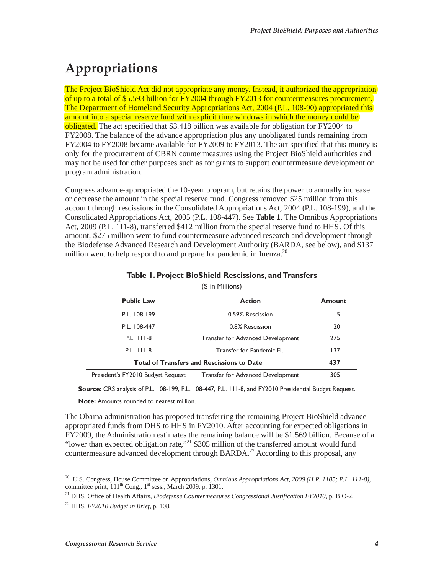## **Appropriations**

The Project BioShield Act did not appropriate any money. Instead, it authorized the appropriation of up to a total of \$5.593 billion for FY2004 through FY2013 for countermeasures procurement. The Department of Homeland Security Appropriations Act, 2004 (P.L. 108-90) appropriated this amount into a special reserve fund with explicit time windows in which the money could be obligated. The act specified that \$3.418 billion was available for obligation for FY2004 to FY2008. The balance of the advance appropriation plus any unobligated funds remaining from FY2004 to FY2008 became available for FY2009 to FY2013. The act specified that this money is only for the procurement of CBRN countermeasures using the Project BioShield authorities and may not be used for other purposes such as for grants to support countermeasure development or program administration.

Congress advance-appropriated the 10-year program, but retains the power to annually increase or decrease the amount in the special reserve fund. Congress removed \$25 million from this account through rescissions in the Consolidated Appropriations Act, 2004 (P.L. 108-199), and the Consolidated Appropriations Act, 2005 (P.L. 108-447). See **Table 1**. The Omnibus Appropriations Act, 2009 (P.L. 111-8), transferred \$412 million from the special reserve fund to HHS . Of this amount, \$275 million went to fund countermeasure advanced research and development through the Biodefense Advanced Research and Development Authority (BARDA, see below), and \$137 million went to help respond to and prepare for pandemic influenza.<sup>20</sup>

| , <del>,</del> <del>.</del> ,                     |                                          |     |  |  |  |  |  |
|---------------------------------------------------|------------------------------------------|-----|--|--|--|--|--|
| <b>Public Law</b>                                 | <b>Action</b>                            |     |  |  |  |  |  |
| P.L. 108-199                                      | 0.59% Rescission                         | 5   |  |  |  |  |  |
| P.L. 108-447                                      | 0.8% Rescission                          | 20  |  |  |  |  |  |
| P.L. 111-8                                        | Transfer for Advanced Development        | 275 |  |  |  |  |  |
| $P.L.$ $111-8$                                    | Transfer for Pandemic Flu                | 137 |  |  |  |  |  |
| <b>Total of Transfers and Rescissions to Date</b> | 437                                      |     |  |  |  |  |  |
| President's FY2010 Budget Request                 | <b>Transfer for Advanced Development</b> | 305 |  |  |  |  |  |
|                                                   |                                          |     |  |  |  |  |  |

#### **Table 1. Project BioShield Rescissions, and Transfers**

(\$ in Millions)

**Source:** CRS analysis of P.L. 108-199, P.L. 108-447, P.L. 111-8, and FY2010 Presidential Budget Request.

**Note:** Amounts rounded to nearest million.

The Obama administration has proposed transferring the remaining Project BioShield advanceappropriated funds from DHS to HHS in FY2010. After accounting for expected obligations in FY2009, the Administration estimates the remaining balance will be \$1.569 billion. Because of a "lower than expected obligation rate,"21 \$305 million of the transferred amount would fund countermeasure advanced development through  $BARDA<sup>22</sup>$  According to this proposal, any

<sup>20</sup> U.S. Congress, House Committee on Appropriations, *Omnibus Appropriations Act, 2009 (H.R. 1105; P.L. 111-8)*, committee print,  $111<sup>th</sup>$  Cong.,  $1<sup>st</sup>$  sess., March 2009, p. 1301.

<sup>21</sup> DHS, Office of Health Affairs, *Biodefense Countermeasures Congressional Justification FY2010*, p. BIO-2.

<sup>22</sup> HHS, *FY2010 Budget in Brief*, p. 108.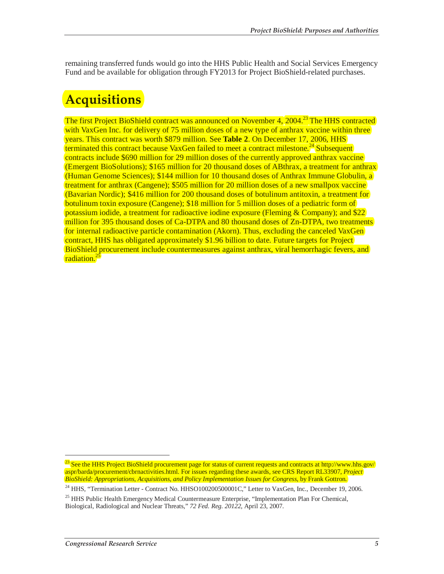remaining transferred funds would go into the HHS Public Health and Social Services Emergency Fund and be available for obligation through FY2013 for Project BioShield-related purchases.

### **Acquisitions**

The first Project BioShield contract was announced on November 4, 2004.<sup>23</sup> The HHS contracted with VaxGen Inc. for delivery of 75 million doses of a new type of anthrax vaccine within three years. This contract was worth \$879 million. See **Table 2**. On December 17, 2006, HHS terminated this contract because VaxGen failed to meet a contract milestone.<sup>24</sup> Subsequent contracts include \$690 million for 29 million doses of the currently approved anthrax vaccine (Emergent BioSolutions); \$165 million for 20 thousand doses of ABthrax, a treatment for anthrax (Human Genome Sciences); \$144 million for 10 thousand doses of Anthrax Immune Globulin, a treatment for anthrax (Cangene); \$505 million for 20 million doses of a new smallpox vaccine (Bavarian Nordic); \$416 million for 200 thousand doses of botulinum antitoxin, a treatment for botulinum toxin exposure (Cangene); \$18 million for 5 million doses of a pediatric form of potassium iodide, a treatment for radioactive iodine exposure (Fleming & Company); and \$22 million for 395 thousand doses of Ca-DTPA and 80 thousand doses of Zn-DTPA, two treatments for internal radioactive particle contamination (Akorn). Thus, excluding the canceled VaxGen contract, HHS has obligated approximately \$1.96 billion to date. Future targets for Project BioShield procurement include countermeasures against anthrax, viral hemorrhagic fevers, and radiation.<sup>25</sup>

<sup>&</sup>lt;sup>23</sup> See the HHS Project BioShield procurement page for status of current requests and contracts at http://www.hhs.gov/ aspr/barda/procurement/cbrnactivities.html. For issues regarding these awards, see CRS Report RL33907, *Project BioShield: Appropriations, Acquisitions, and Policy Implementation Issues for Congress*, by Frank Gottron.

<sup>&</sup>lt;sup>24</sup> HHS, "Termination Letter - Contract No. HHSO100200500001C," Letter to VaxGen, Inc., December 19, 2006.

<sup>&</sup>lt;sup>25</sup> HHS Public Health Emergency Medical Countermeasure Enterprise, "Implementation Plan For Chemical, Biological, Radiological and Nuclear Threats," *72 Fed. Reg. 20122*, April 23, 2007.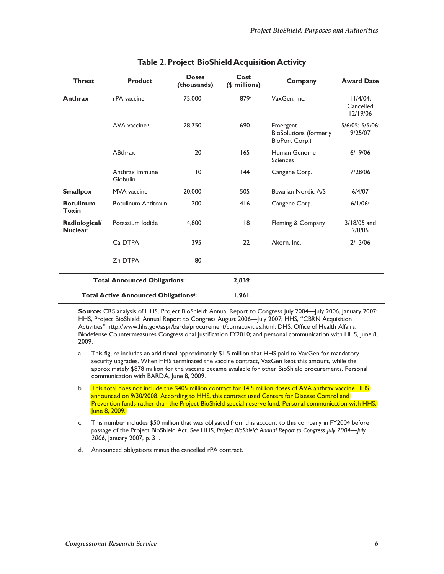| <b>Threat</b>                                     | <b>Product</b>             | <b>Doses</b><br>(thousands) | Cost<br>(\$ millions) | Company                                                     | <b>Award Date</b>                    |
|---------------------------------------------------|----------------------------|-----------------------------|-----------------------|-------------------------------------------------------------|--------------------------------------|
| Anthrax                                           | rPA vaccine                | 75,000                      | 879a                  | VaxGen, Inc.                                                | $11/4/04$ :<br>Cancelled<br>12/19/06 |
|                                                   | AVA vaccineb               | 28,750                      | 690                   | Emergent<br><b>BioSolutions (formerly</b><br>BioPort Corp.) | 5/6/05; 5/5/06;<br>9/25/07           |
|                                                   | <b>ABthrax</b>             | 20                          | 165                   | Human Genome<br><b>Sciences</b>                             | 6/19/06                              |
|                                                   | Anthrax Immune<br>Globulin | 10                          | 44                    | Cangene Corp.                                               | 7/28/06                              |
| <b>Smallpox</b>                                   | <b>MVA</b> vaccine         | 20,000                      | 505                   | Bavarian Nordic A/S                                         | 6/4/07                               |
| <b>Botulinum</b><br>Toxin                         | <b>Botulinum Antitoxin</b> | 200                         | 416                   | Cangene Corp.                                               | 6/1/06c                              |
| Radiological/<br><b>Nuclear</b>                   | Potassium Iodide           | 4.800                       | 8                     | Fleming & Company                                           | 3/18/05 and<br>2/8/06                |
|                                                   | C <sub>a</sub> -DTPA       | 395                         | 22                    | Akorn, Inc.                                                 | 2/13/06                              |
|                                                   | Zn-DTPA                    | 80                          |                       |                                                             |                                      |
| <b>Total Announced Obligations:</b>               |                            |                             | 2,839                 |                                                             |                                      |
| Total Active Announced Obligations <sup>d</sup> : |                            | 1,961                       |                       |                                                             |                                      |

#### **Table 2. Project BioShield Acquisition Activity**

**Source:** CRS analysis of HHS, Project BioShield: Annual Report to Congress July 2004—July 2006, January 2007; HHS, Project BioShield: Annual Report to Congress August 2006—July 2007; HHS, "CBRN Acquisition Activities" http://www.hhs.gov/aspr/barda/procurement/cbrnactivities.html; DHS, Office of Health Affairs, Biodefense Countermeasures Congressional Justification FY2010; and personal communication with HHS, June 8, 2009.

- a. This figure includes an additional approximately \$1.5 million that HHS paid to VaxGen for mandatory security upgrades. When HHS terminated the vaccine contract, VaxGen kept this amount, while the approximately \$878 million for the vaccine became available for other BioShield procurements. Personal communication with BARDA, June 8, 2009.
- b. This total does not include the \$405 million contract for 14.5 million doses of AVA anthrax vaccine HHS announced on 9/30/2008. According to HHS, this contract used Centers for Disease Control and Prevention funds rather than the Project BioShield special reserve fund. Personal communication with HHS, June 8, 2009.
- c. This number includes \$50 million that was obligated from this account to this company in FY2004 before passage of the Project BioShield Act. See HHS, *Project BioShield: Annual Report to Congress July 2004—July 2006*, January 2007, p. 31.
- d. Announced obligations minus the cancelled rPA contract.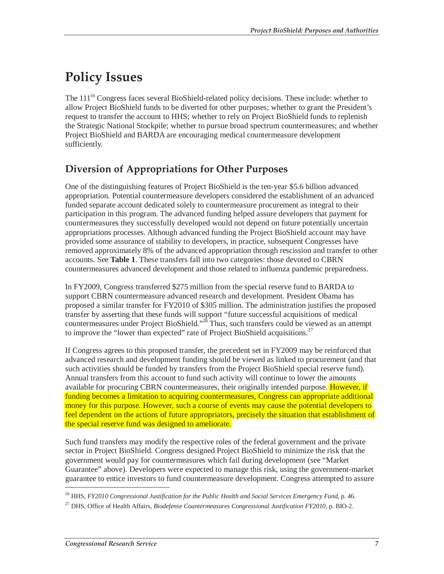### **Policy Issues**

The 111<sup>th</sup> Congress faces several BioShield-related policy decisions. These include: whether to allow Project BioShield funds to be diverted for other purposes; whether to grant the President's request to transfer the account to HHS; whether to rely on Project BioShield funds to replenish the Strategic National Stockpile; whether to pursue broad spectrum countermeasures; and whether Project BioShield and BARDA are encouraging medical countermeasure development sufficiently.

### **Diversion of Appropriations for Other Purposes**

One of the distinguishing features of Project BioShield is the ten-year \$5.6 billion advanced appropriation. Potential countermeasure developers considered the establishment of an advanced funded separate account dedicated solely to countermeasure procurement as integral to their participation in this program. The advanced funding helped assure developers that payment for countermeasures they successfully developed would not depend on future potentially uncertain appropriations processes. Although advanced funding the Project BioShield account may have provided some assurance of stability to developers, in practice, subsequent Congresses have removed approximately 8% of the advanced appropriation through rescission and transfer to other accounts. See **Table 1**. These transfers fall into two categories: those devoted to CBRN countermeasures advanced development and those related to influenza pandemic preparedness.

In FY2009, Congress transferred \$275 million from the special reserve fund to BARDA to support CBRN countermeasure advanced research and development. President Obama has proposed a similar transfer for FY2010 of \$305 million. The administration justifies the proposed transfer by asserting that these funds will support "future successful acquisitions of medical countermeasures under Project BioShield."26 Thus, such transfers could be viewed as an attempt to improve the "lower than expected" rate of Project BioShield acquisitions.<sup>27</sup>

If Congress agrees to this proposed transfer, the precedent set in FY2009 may be reinforced that advanced research and development funding should be viewed as linked to procurement (and that such activities should be funded by transfers from the Project BioShield special reserve fund). Annual transfers from this account to fund such activity will continue to lower the amounts available for procuring CBRN countermeasures, their originally intended purpose. However, if funding becomes a limitation to acquiring countermeasures, Congress can appropriate additional money for this purpose. However, such a course of events may cause the potential developers to feel dependent on the actions of future appropriators, precisely the situation that establishment of the special reserve fund was designed to ameliorate.

Such fund transfers may modify the respective roles of the federal government and the private sector in Project BioShield. Congress designed Project BioShield to minimize the risk that the government would pay for countermeasures which fail during development (see "Market Guarantee" above). Developers were expected to manage this risk, using the government-market guarantee to entice investors to fund countermeasure development. Congress attempted to assure

<sup>26</sup> HHS, *FY2010 Congressional Justification for the Public Health and Social Services Emergency Fund*, p. 46.

<sup>27</sup> DHS, Office of Health Affairs, *Biodefense Countermeasures Congressional Justification FY2010*, p. BIO-2.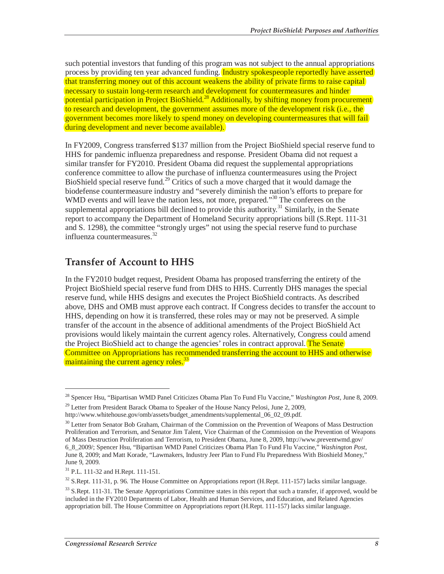such potential investors that funding of this program was not subject to the annual appropriations process by providing ten year advanced funding. Industry spokespeople reportedly have asserted that transferring money out of this account weakens the ability of private firms to raise capital necessary to sustain long-term research and development for countermeasures and hinder potential participation in Project BioShield.<sup>28</sup> Additionally, by shifting money from procurement to research and development, the government assumes more of the development risk (i.e., the government becomes more likely to spend money on developing countermeasures that will fail during development and never become available).

In FY2009, Congress transferred \$137 million from the Project BioShield special reserve fund to HHS for pandemic influenza preparedness and response. President Obama did not request a similar transfer for FY2010. President Obama did request the supplemental appropriations conference committee to allow the purchase of influenza countermeasures using the Project BioShield special reserve fund.<sup>29</sup> Critics of such a move charged that it would damage the biodefense countermeasure industry and "severely diminish the nation's efforts to prepare for WMD events and will leave the nation less, not more, prepared."<sup>30</sup> The conferees on the supplemental appropriations bill declined to provide this authority.<sup>31</sup> Similarly, in the Senate report to accompany the Department of Homeland Security appropriations bill (S.Rept. 111-31 and S. 1298), the committee "strongly urges" not using the special reserve fund to purchase influenza countermeasures.<sup>32</sup>

### **Transfer of Account to HHS**

In the FY2010 budget request, President Obama has proposed transferring the entirety of the Project BioShield special reserve fund from DHS to HHS. Currently DHS manages the special reserve fund, while HHS designs and executes the Project BioShield contracts. As described above, DHS and OMB must approve each contract. If Congress decides to transfer the account to HHS, depending on how it is transferred, these roles may or may not be preserved. A simple transfer of the account in the absence of additional amendments of the Project BioShield Act provisions would likely maintain the current agency roles. Alternatively, Congress could amend the Project BioShield act to change the agencies' roles in contract approval. The Senate Committee on Appropriations has recommended transferring the account to HHS and otherwise maintaining the current agency roles.<sup>33</sup>

<u>.</u>

<sup>28</sup> Spencer Hsu, "Bipartisan WMD Panel Criticizes Obama Plan To Fund Flu Vaccine," *Washington Post*, June 8, 2009.

 $29$  Letter from President Barack Obama to Speaker of the House Nancy Pelosi, June 2, 2009, http://www.whitehouse.gov/omb/assets/budget\_amendments/supplemental\_06\_02\_09.pdf.

<sup>&</sup>lt;sup>30</sup> Letter from Senator Bob Graham, Chairman of the Commission on the Prevention of Weapons of Mass Destruction Proliferation and Terrorism, and Senator Jim Talent, Vice Chairman of the Commission on the Prevention of Weapons of Mass Destruction Proliferation and Terrorism, to President Obama, June 8, 2009, http://www.preventwmd.gov/ 6\_8\_2009/; Spencer Hsu, "Bipartisan WMD Panel Criticizes Obama Plan To Fund Flu Vaccine," *Washington Post*, June 8, 2009; and Matt Korade, "Lawmakers, Industry Jeer Plan to Fund Flu Preparedness With Bioshield Money," June 9, 2009.

<sup>31</sup> P.L. 111-32 and H.Rept. 111-151.

<sup>&</sup>lt;sup>32</sup> S.Rept. 111-31, p. 96. The House Committee on Appropriations report (H.Rept. 111-157) lacks similar language.

<sup>&</sup>lt;sup>33</sup> S.Rept. 111-31. The Senate Appropriations Committee states in this report that such a transfer, if approved, would be included in the FY2010 Departments of Labor, Health and Human Services, and Education, and Related Agencies appropriation bill. The House Committee on Appropriations report (H.Rept. 111-157) lacks similar language.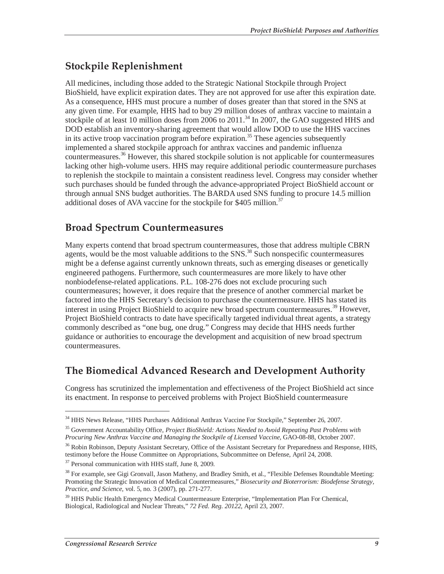### **Stockpile Replenishment**

All medicines, including those added to the Strategic National Stockpile through Project BioShield, have explicit expiration dates. They are not approved for use after this expiration date. As a consequence, HHS must procure a number of doses greater than that stored in the SNS at any given time. For example, HHS had to buy 29 million doses of anthrax vaccine to maintain a stockpile of at least 10 million doses from 2006 to 2011.<sup>34</sup> In 2007, the GAO suggested HHS and DOD establish an inventory-sharing agreement that would allow DOD to use the HHS vaccines in its active troop vaccination program before expiration.<sup>35</sup> These agencies subsequently implemented a shared stockpile approach for anthrax vaccines and pandemic influenza countermeasures.<sup>36</sup> However, this shared stockpile solution is not applicable for countermeasures lacking other high-volume users. HHS may require additional periodic countermeasure purchases to replenish the stockpile to maintain a consistent readiness level. Congress may consider whether such purchases should be funded through the advance-appropriated Project BioShield account or through annual SNS budget authorities. The BARDA used SNS funding to procure 14.5 million additional doses of AVA vaccine for the stockpile for \$405 million.<sup>37</sup>

#### **Broad Spectrum Countermeasures**

Many experts contend that broad spectrum countermeasures, those that address multiple CBRN agents, would be the most valuable additions to the  $SNS$ <sup>38</sup> Such nonspecific countermeasures might be a defense against currently unknown threats, such as emerging diseases or genetically engineered pathogens. Furthermore, such countermeasures are more likely to have other nonbiodefense-related applications. P.L. 108-276 does not exclude procuring such countermeasures; however, it does require that the presence of another commercial market be factored into the HHS Secretary's decision to purchase the countermeasure. HHS has stated its interest in using Project BioShield to acquire new broad spectrum countermeasures.<sup>39</sup> However, Project BioShield contracts to date have specifically targeted individual threat agents, a strategy commonly described as "one bug, one drug." Congress may decide that HHS needs further guidance or authorities to encourage the development and acquisition of new broad spectrum countermeasures.

#### **The Biomedical Advanced Research and Development Authority**

Congress has scrutinized the implementation and effectiveness of the Project BioShield act since its enactment. In response to perceived problems with Project BioShield countermeasure

<sup>37</sup> Personal communication with HHS staff, June 8, 2009.

<sup>34</sup> HHS News Release, "HHS Purchases Additional Anthrax Vaccine For Stockpile," September 26, 2007.

<sup>35</sup> Government Accountability Office, *Project BioShield: Actions Needed to Avoid Repeating Past Problems with Procuring New Anthrax Vaccine and Managing the Stockpile of Licensed Vaccine,* GAO-08-88, October 2007.

<sup>&</sup>lt;sup>36</sup> Robin Robinson, Deputy Assistant Secretary, Office of the Assistant Secretary for Preparedness and Response, HHS, testimony before the House Committee on Appropriations, Subcommittee on Defense, April 24, 2008.

<sup>&</sup>lt;sup>38</sup> For example, see Gigi Gronvall, Jason Matheny, and Bradley Smith, et al., "Flexible Defenses Roundtable Meeting: Promoting the Strategic Innovation of Medical Countermeasures," *Biosecurity and Bioterrorism: Biodefense Strategy, Practice, and Science*, vol. 5, no. 3 (2007), pp. 271-277.

<sup>&</sup>lt;sup>39</sup> HHS Public Health Emergency Medical Countermeasure Enterprise, "Implementation Plan For Chemical, Biological, Radiological and Nuclear Threats," *72 Fed. Reg. 20122*, April 23, 2007.